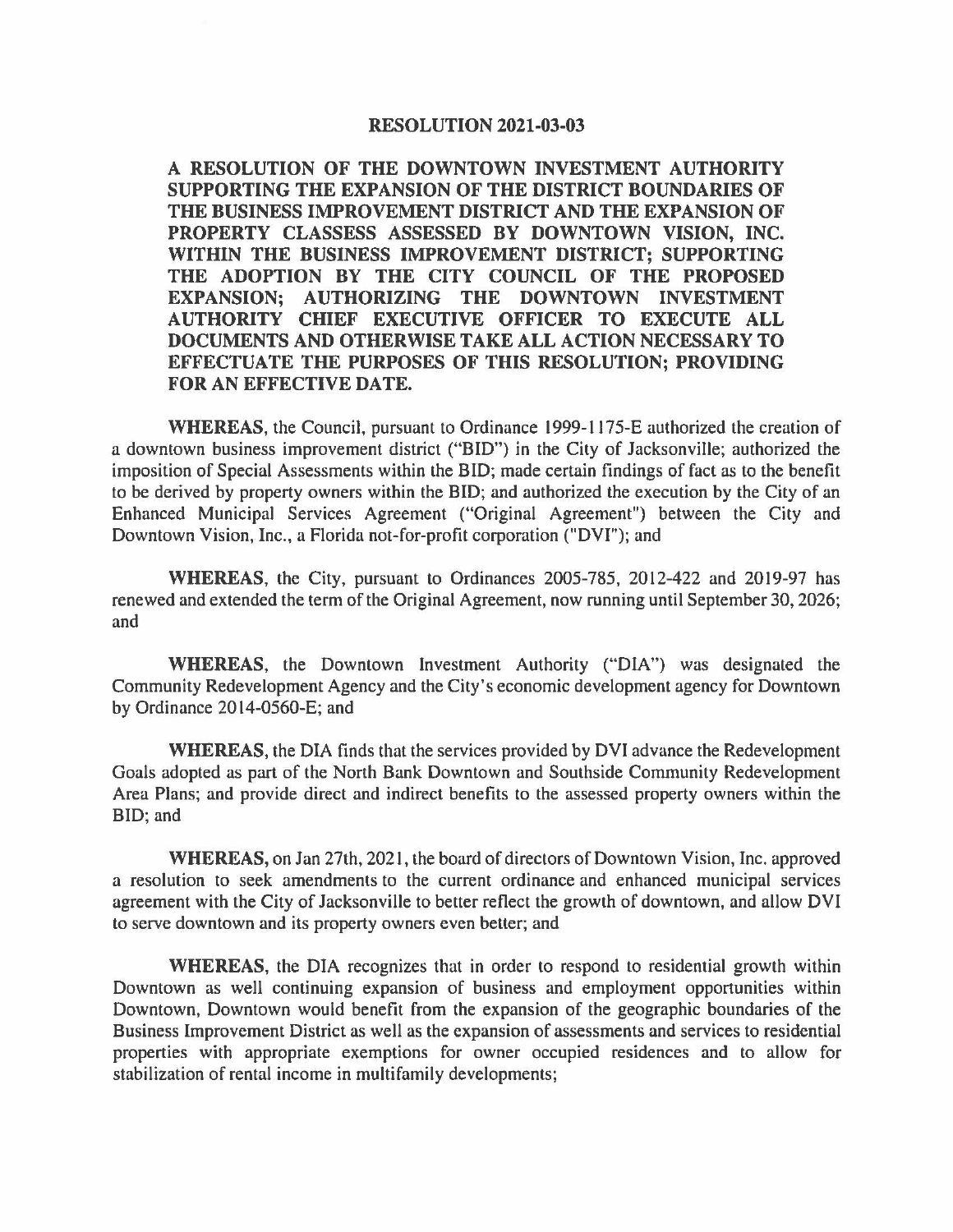#### **RESOLUTION 2021-03-03**

**A RESOLUTION OF THE DOWNTOWN INVESTMENT AUTHORITY SUPPORTING THE EXPANSION OF THE DISTRICT BOUNDARIES OF THE BUSINESS IMPROVEMENT DISTRICT AND THE EXPANSION OF PROPERTY CLASSESS ASSESSED BY DOWNTOWN VISION, INC. WITHIN THE BUSINESS IMPROVEMENT DISTRICT; SUPPORTING THE ADOPTION BY THE CITY COUNCIL OF THE PROPOSED EXPANSION; AUTHORIZING THE DOWNTOWN INVESTMENT AUTHORITY CHIEF EXECUTIVE OFFICER TO EXECUTE ALL DOCUMENTS AND OTHERWISE TAKE ALL ACTION NECESSARY TO EFFECTUATE THE PURPOSES OF THIS RESOLUTION; PROVIDING FOR AN EFFECTIVE DATE.** 

**WHEREAS,** the Council, pursuant to Ordinance 1999-1175-E authorized the creation of a downtown business improvement district ("BID") in the City of Jacksonville; authorized the imposition of Special Assessments within the BID; made certain findings of fact as to the benefit to be derived by property owners within the BID; and authorized the execution by the City of an Enhanced Municipal Services Agreement ("Original Agreement") between the City and Downtown Vision, Inc., a Florida not-for-profit corporation ("DYi"); and

**WHEREAS,** the City, pursuant to Ordinances 2005-785, 2012-422 and 2019-97 has renewed and extended the term of the Original Agreement, now running until September 30, 2026; and

**WHEREAS,** the Downtown Investment Authority ("DIA") was designated the Community Redevelopment Agency and the City's economic development agency for Downtown by Ordinance 2014-0560-E; and

**WHEREAS,** the DIA finds that the services provided by DVI advance the Redevelopment Goals adopted as part of the North Bank Downtown and Southside Community Redevelopment Area Plans; and provide direct and indirect benefits to the assessed property owners within the BID; and

**WHEREAS,** on Jan 27th, 2021, the board of directors of Downtown Vision, Inc. approved a resolution to seek amendments to the current ordinance and enhanced municipal services agreement with the City of Jacksonville to better reflect the growth of downtown, and allow DVI to serve downtown and its property owners even better; and

**WHEREAS,** the DIA recognizes that in order to respond to residential growth within Downtown as well continuing expansion of business and employment opportunities within Downtown, Downtown would benefit from the expansion of the geographic boundaries of the Business Improvement District as well as the expansion of assessments and services to residential properties with appropriate exemptions for owner occupied residences and to allow for stabilization of rental income in multifamily developments;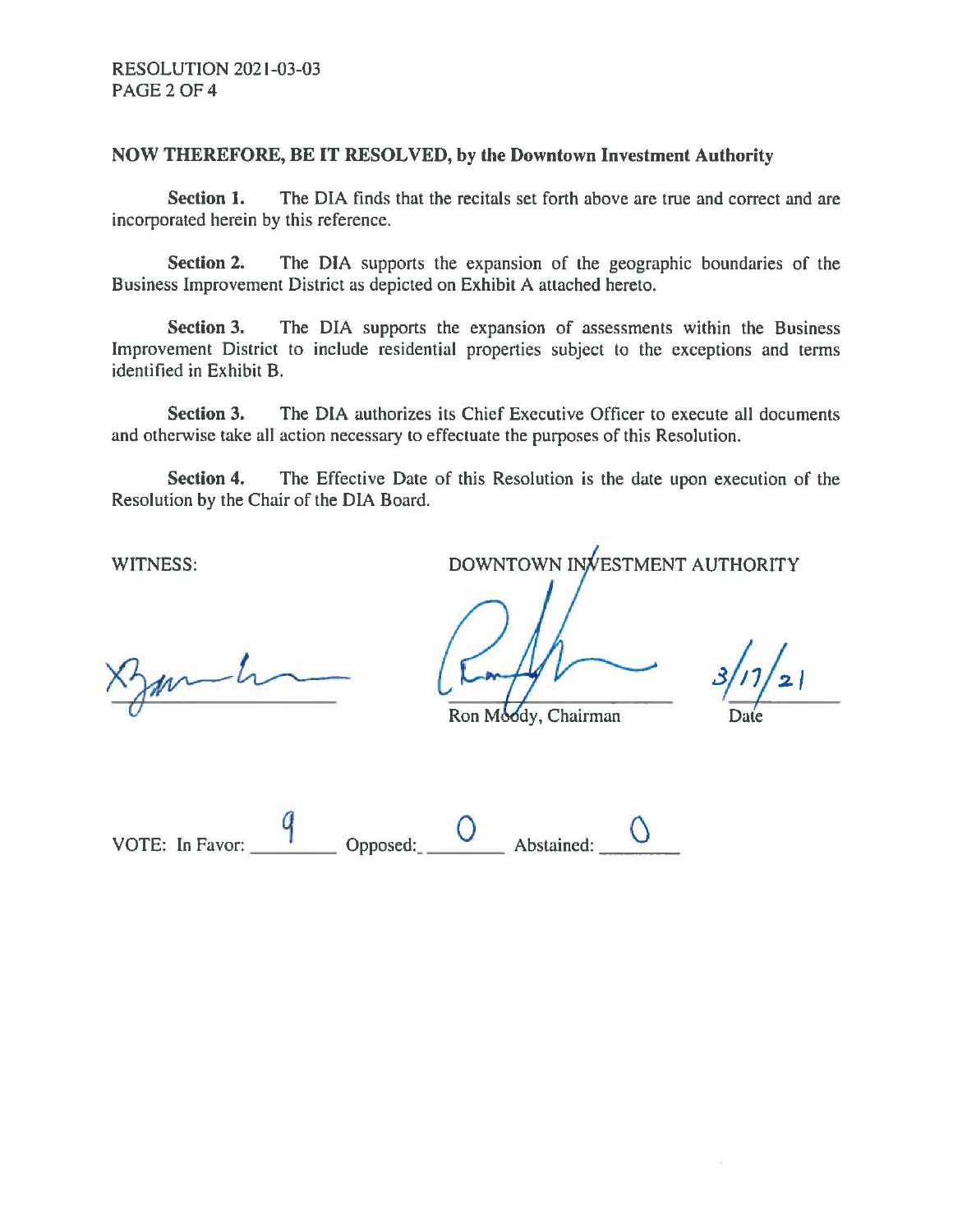### **NOW THEREFORE, BE IT RESOLVED, by the Downtown Investment Authority**

**Section 1.** The DIA finds that the recitals set forth above are true and correct and are incorporated herein by this reference.

**Section 2.** The DIA supports the expansion of the geographic boundaries of the Business Improvement District as depicted on Exhibit A attached hereto.

**Section 3.** The DIA supports the expansion of assessments within the Business Improvement District to include residential properties subject to the exceptions and terms identified in Exhibit B.

**Section 3.** The DIA authorizes its Chief Executive Officer to execute all documents and otherwise take all action necessary to effectuate the purposes of this Resolution.

**Section 4.** The Effective Date of this Resolution is the date upon execution of the Resolution by the Chair of the DIA Board.

 $m-h$ 

WITNESS: DOWNTOWN IN ESTMENT AUTHORITY

Ron Moody, Chairman

 $3/17/21$ 

Date

VOTE: In Favor: **Depresed: Q proposed: Abstained:**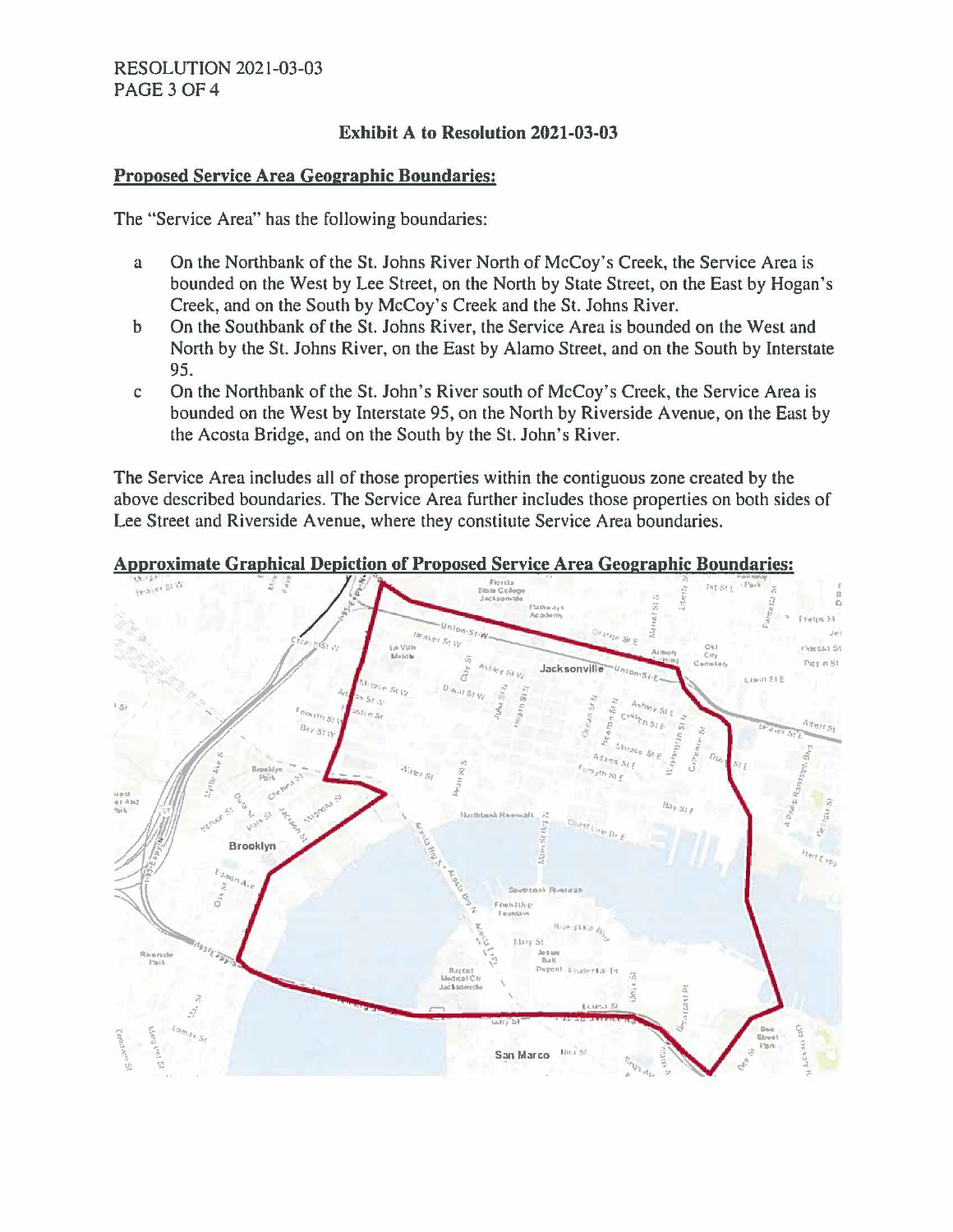# **Exhibit A to Resolution 2021-03-03**

### **Proposed Service Area Geographic Boundaries:**

The "Service Area" has the following boundaries:

- a On the Northbank of the St. Johns River North of McCoy's Creek, the Service Area is bounded on the West by Lee Street, on the North by State Street, on the East by Hogan's Creek, and on the South by McCoy's Creek and the St. Johns River.
- b On the Southbank of the St. Johns River, the Service Area is bounded on the West and North by the St. Johns River, on the East by Alamo Street, and on the South by Interstate 95.
- c On the North bank of the St. John's River south of McCoy's Creek, the Service Area is bounded on the West by Interstate 95, on the North by Riverside Avenue, on the East by the Acosta Bridge, and on the South by the St. John's River.

The Service Area includes all of those properties within the contiguous zone created by the above described boundaries. The Service Area further includes those properties on both sides of Lee Street and Riverside A venue, where they constitute Service Area boundaries.

### **Approximate Graphical Depiction of Proposed Service Area Geographic Boundaries:**